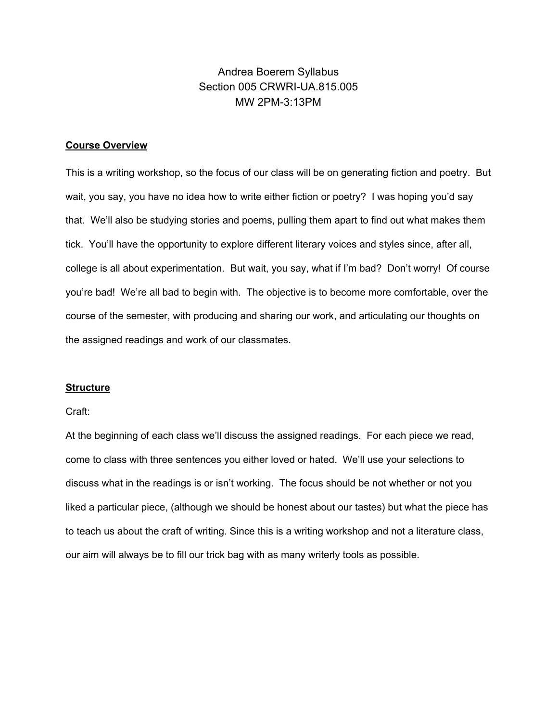# Andrea Boerem Syllabus Section 005 CRWRI-UA.815.005 MW 2PM-3:13PM

### **Course Overview**

This is a writing workshop, so the focus of our class will be on generating fiction and poetry. But wait, you say, you have no idea how to write either fiction or poetry? I was hoping you'd say that. We'll also be studying stories and poems, pulling them apart to find out what makes them tick. You'll have the opportunity to explore different literary voices and styles since, after all, college is all about experimentation. But wait, you say, what if I'm bad? Don't worry! Of course you're bad! We're all bad to begin with. The objective is to become more comfortable, over the course of the semester, with producing and sharing our work, and articulating our thoughts on the assigned readings and work of our classmates.

### **Structure**

#### Craft:

At the beginning of each class we'll discuss the assigned readings. For each piece we read, come to class with three sentences you either loved or hated. We'll use your selections to discuss what in the readings is or isn't working. The focus should be not whether or not you liked a particular piece, (although we should be honest about our tastes) but what the piece has to teach us about the craft of writing. Since this is a writing workshop and not a literature class, our aim will always be to fill our trick bag with as many writerly tools as possible.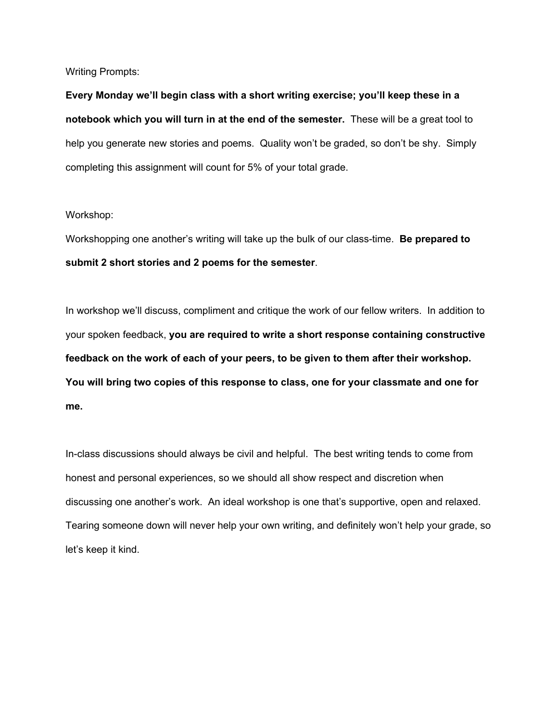Writing Prompts:

**Every Monday we'll begin class with a short writing exercise; you'll keep these in a notebook which you will turn in at the end of the semester.** These will be a great tool to help you generate new stories and poems. Quality won't be graded, so don't be shy. Simply completing this assignment will count for 5% of your total grade.

### Workshop:

Workshopping one another's writing will take up the bulk of our class-time. **Be prepared to submit 2 short stories and 2 poems for the semester**.

In workshop we'll discuss, compliment and critique the work of our fellow writers. In addition to your spoken feedback, **you are required to write a short response containing constructive feedback on the work of each of your peers, to be given to them after their workshop. You will bring two copies of this response to class, one for your classmate and one for me.**

In-class discussions should always be civil and helpful. The best writing tends to come from honest and personal experiences, so we should all show respect and discretion when discussing one another's work. An ideal workshop is one that's supportive, open and relaxed. Tearing someone down will never help your own writing, and definitely won't help your grade, so let's keep it kind.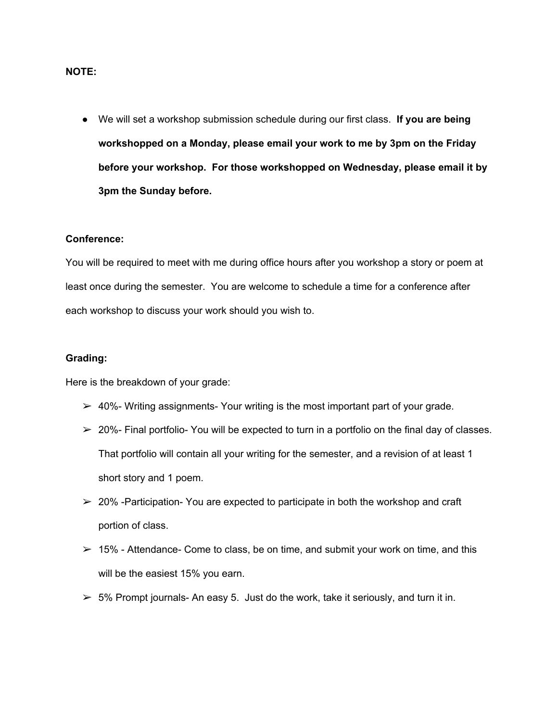### **NOTE:**

● We will set a workshop submission schedule during our first class. **If you are being workshopped on a Monday, please email your work to me by 3pm on the Friday before your workshop. For those workshopped on Wednesday, please email it by 3pm the Sunday before.**

#### **Conference:**

You will be required to meet with me during office hours after you workshop a story or poem at least once during the semester. You are welcome to schedule a time for a conference after each workshop to discuss your work should you wish to.

#### **Grading:**

Here is the breakdown of your grade:

- $\geq$  40%- Writing assignments-Your writing is the most important part of your grade.
- $\geq$  20%- Final portfolio- You will be expected to turn in a portfolio on the final day of classes. That portfolio will contain all your writing for the semester, and a revision of at least 1 short story and 1 poem.
- $\geq$  20% -Participation-You are expected to participate in both the workshop and craft portion of class.
- $> 15\%$  Attendance- Come to class, be on time, and submit your work on time, and this will be the easiest 15% you earn.
- $>$  5% Prompt journals- An easy 5. Just do the work, take it seriously, and turn it in.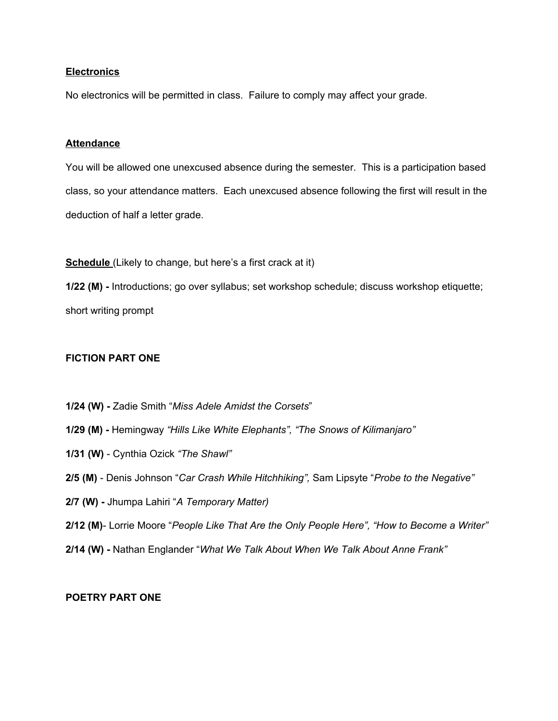### **Electronics**

No electronics will be permitted in class. Failure to comply may affect your grade.

#### **Attendance**

You will be allowed one unexcused absence during the semester. This is a participation based class, so your attendance matters. Each unexcused absence following the first will result in the deduction of half a letter grade.

**Schedule** (Likely to change, but here's a first crack at it)

**1/22 (M) -** Introductions; go over syllabus; set workshop schedule; discuss workshop etiquette; short writing prompt

### **FICTION PART ONE**

- **1/24 (W) -** Zadie Smith "*Miss Adele Amidst the Corsets*"
- **1/29 (M) -** Hemingway *"Hills Like White Elephants", "The Snows of Kilimanjaro"*
- **1/31 (W)** Cynthia Ozick *"The Shawl"*
- **2/5 (M)** Denis Johnson "*Car Crash While Hitchhiking",* Sam Lipsyte "*Probe to the Negative"*
- **2/7 (W) -** Jhumpa Lahiri "*A Temporary Matter)*
- **2/12 (M)** Lorrie Moore "*People Like That Are the Only People Here", "How to Become a Writer"*
- **2/14 (W) -** Nathan Englander "*What We Talk About When We Talk About Anne Frank"*

## **POETRY PART ONE**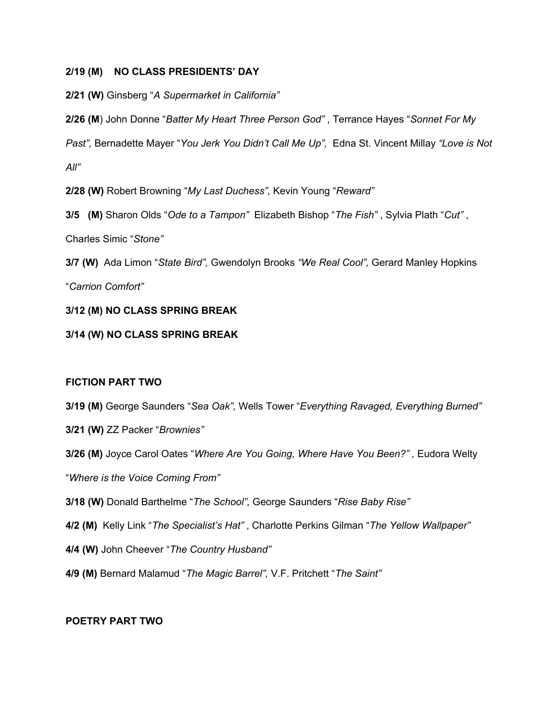## **2/19 (M) NO CLASS PRESIDENTS' DAY**

**2/21 (W)** Ginsberg "*A Supermarket in California"*

**2/26 (M**) John Donne "*Batter My Heart Three Person God"* , Terrance Hayes "*Sonnet For My Past",* Bernadette Mayer "*You Jerk You Didn't Call Me Up",* Edna St. Vincent Millay *"Love is Not All"*

**2/28 (W)** Robert Browning "*My Last Duchess",* Kevin Young "*Reward"*

**3/5 (M)** Sharon Olds "*Ode to a Tampon"* Elizabeth Bishop "*The Fish"* , Sylvia Plath "*Cut"* , Charles Simic "*Stone"*

**3/7 (W)** Ada Limon "*State Bird",* Gwendolyn Brooks *"We Real Cool",* Gerard Manley Hopkins "*Carrion Comfort"*

# **3/12 (M) NO CLASS SPRING BREAK**

# **3/14 (W) NO CLASS SPRING BREAK**

# **FICTION PART TWO**

- **3/19 (M)** George Saunders "*Sea Oak",* Wells Tower "*Everything Ravaged, Everything Burned"*
- **3/21 (W)** ZZ Packer "*Brownies"*
- **3/26 (M)** Joyce Carol Oates "*Where Are You Going, Where Have You Been?" ,* Eudora Welty

"*Where is the Voice Coming From"*

- **3/18 (W)** Donald Barthelme "*The School",* George Saunders "*Rise Baby Rise"*
- **4/2 (M)** Kelly Link "*The Specialist's Hat"* , Charlotte Perkins Gilman "*The Yellow Wallpaper"*
- **4/4 (W)** John Cheever "*The Country Husband"*
- **4/9 (M)** Bernard Malamud "*The Magic Barrel",* V.F. Pritchett "*The Saint"*

# **POETRY PART TWO**